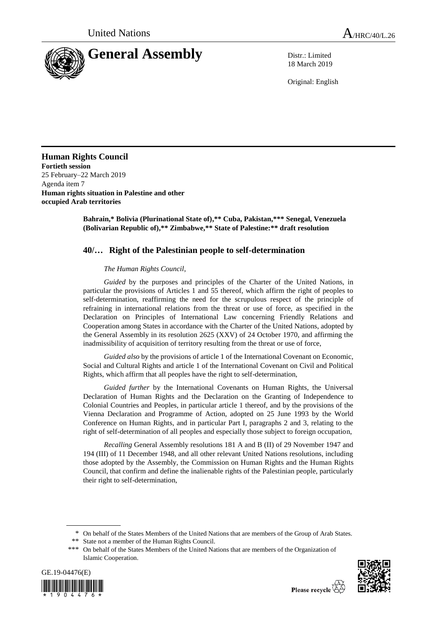

18 March 2019

Original: English

**Human Rights Council Fortieth session** 25 February–22 March 2019 Agenda item 7 **Human rights situation in Palestine and other occupied Arab territories**

> **Bahrain,\* Bolivia (Plurinational State of),\*\* Cuba, Pakistan,\*\*\* Senegal, Venezuela (Bolivarian Republic of),\*\* Zimbabwe,\*\* State of Palestine:\*\* draft resolution**

## **40/… Right of the Palestinian people to self-determination**

## *The Human Rights Council*,

*Guided* by the purposes and principles of the Charter of the United Nations, in particular the provisions of Articles 1 and 55 thereof, which affirm the right of peoples to self-determination, reaffirming the need for the scrupulous respect of the principle of refraining in international relations from the threat or use of force, as specified in the Declaration on Principles of International Law concerning Friendly Relations and Cooperation among States in accordance with the Charter of the United Nations, adopted by the General Assembly in its resolution 2625 (XXV) of 24 October 1970, and affirming the inadmissibility of acquisition of territory resulting from the threat or use of force,

*Guided also* by the provisions of article 1 of the International Covenant on Economic, Social and Cultural Rights and article 1 of the International Covenant on Civil and Political Rights, which affirm that all peoples have the right to self-determination,

*Guided further* by the International Covenants on Human Rights, the Universal Declaration of Human Rights and the Declaration on the Granting of Independence to Colonial Countries and Peoples, in particular article 1 thereof, and by the provisions of the Vienna Declaration and Programme of Action, adopted on 25 June 1993 by the World Conference on Human Rights, and in particular Part I, paragraphs 2 and 3, relating to the right of self-determination of all peoples and especially those subject to foreign occupation,

*Recalling* General Assembly resolutions 181 A and B (II) of 29 November 1947 and 194 (III) of 11 December 1948, and all other relevant United Nations resolutions, including those adopted by the Assembly, the Commission on Human Rights and the Human Rights Council, that confirm and define the inalienable rights of the Palestinian people, particularly their right to self-determination,

<sup>\*\*\*</sup> On behalf of the States Members of the United Nations that are members of the Organization of Islamic Cooperation.





<sup>\*</sup> On behalf of the States Members of the United Nations that are members of the Group of Arab States.

<sup>\*\*</sup> State not a member of the Human Rights Council.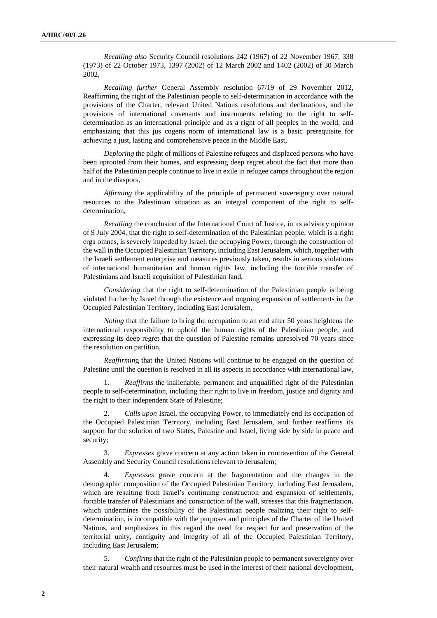*Recalling also* Security Council resolutions 242 (1967) of 22 November 1967, 338 (1973) of 22 October 1973, 1397 (2002) of 12 March 2002 and 1402 (2002) of 30 March 2002,

*Recalling further* General Assembly resolution 67/19 of 29 November 2012, Reaffirming the right of the Palestinian people to self-determination in accordance with the provisions of the Charter, relevant United Nations resolutions and declarations, and the provisions of international covenants and instruments relating to the right to selfdetermination as an international principle and as a right of all peoples in the world, and emphasizing that this jus cogens norm of international law is a basic prerequisite for achieving a just, lasting and comprehensive peace in the Middle East,

*Deploring* the plight of millions of Palestine refugees and displaced persons who have been uprooted from their homes, and expressing deep regret about the fact that more than half of the Palestinian people continue to live in exile in refugee camps throughout the region and in the diaspora,

*Affirming* the applicability of the principle of permanent sovereignty over natural resources to the Palestinian situation as an integral component of the right to selfdetermination,

*Recalling* the conclusion of the International Court of Justice, in its advisory opinion of 9 July 2004, that the right to self-determination of the Palestinian people, which is a right erga omnes, is severely impeded by Israel, the occupying Power, through the construction of the wall in the Occupied Palestinian Territory, including East Jerusalem, which, together with the Israeli settlement enterprise and measures previously taken, results in serious violations of international humanitarian and human rights law, including the forcible transfer of Palestinians and Israeli acquisition of Palestinian land,

*Considering* that the right to self-determination of the Palestinian people is being violated further by Israel through the existence and ongoing expansion of settlements in the Occupied Palestinian Territory, including East Jerusalem,

*Noting* that the failure to bring the occupation to an end after 50 years heightens the international responsibility to uphold the human rights of the Palestinian people, and expressing its deep regret that the question of Palestine remains unresolved 70 years since the resolution on partition,

*Reaffirmin*g that the United Nations will continue to be engaged on the question of Palestine until the question is resolved in all its aspects in accordance with international law,

1. *Reaffirms* the inalienable, permanent and unqualified right of the Palestinian people to self-determination, including their right to live in freedom, justice and dignity and the right to their independent State of Palestine;

2. *Calls upon* Israel, the occupying Power, to immediately end its occupation of the Occupied Palestinian Territory, including East Jerusalem, and further reaffirms its support for the solution of two States, Palestine and Israel, living side by side in peace and security;

3. *Expresses* grave concern at any action taken in contravention of the General Assembly and Security Council resolutions relevant to Jerusalem;

4. *Expresses* grave concern at the fragmentation and the changes in the demographic composition of the Occupied Palestinian Territory, including East Jerusalem, which are resulting from Israel's continuing construction and expansion of settlements, forcible transfer of Palestinians and construction of the wall, stresses that this fragmentation, which undermines the possibility of the Palestinian people realizing their right to selfdetermination, is incompatible with the purposes and principles of the Charter of the United Nations, and emphasizes in this regard the need for respect for and preservation of the territorial unity, contiguity and integrity of all of the Occupied Palestinian Territory, including East Jerusalem;

5. *Confirms* that the right of the Palestinian people to permanent sovereignty over their natural wealth and resources must be used in the interest of their national development,